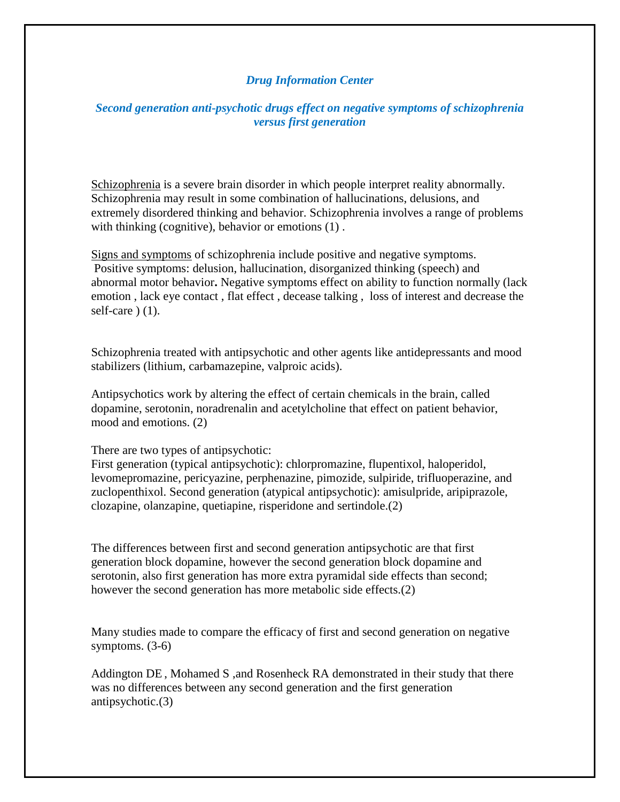## *Drug Information Center*

## *Second generation anti-psychotic drugs effect on negative symptoms of schizophrenia versus first generation*

Schizophrenia is a severe brain disorder in which people interpret reality abnormally. Schizophrenia may result in some combination of hallucinations, delusions, and extremely disordered thinking and behavior. Schizophrenia involves a range of problems with thinking (cognitive), behavior or emotions (1).

Signs and symptoms of schizophrenia include positive and negative symptoms. Positive symptoms: delusion, hallucination, disorganized thinking (speech) and abnormal motor behavior**.** Negative symptoms effect on ability to function normally (lack emotion , lack eye contact , flat effect , decease talking , loss of interest and decrease the self-care  $(1)$ .

Schizophrenia treated with antipsychotic and other agents like antidepressants and mood stabilizers (lithium, carbamazepine, valproic acids).

Antipsychotics work by altering the effect of certain chemicals in the brain, called dopamine, serotonin, noradrenalin and acetylcholine that effect on patient behavior, mood and emotions. (2)

There are two types of antipsychotic:

First generation (typical antipsychotic): chlorpromazine, flupentixol, haloperidol, levomepromazine, pericyazine, perphenazine, pimozide, sulpiride, trifluoperazine, and zuclopenthixol. Second generation (atypical antipsychotic): amisulpride, aripiprazole, clozapine, olanzapine, quetiapine, risperidone and sertindole.(2)

The differences between first and second generation antipsychotic are that first generation block dopamine, however the second generation block dopamine and serotonin, also first generation has more extra pyramidal side effects than second; however the second generation has more metabolic side effects.(2)

Many studies made to compare the efficacy of first and second generation on negative symptoms. (3-6)

Addington DE , Mohamed S ,and Rosenheck RA demonstrated in their study that there was no differences between any second generation and the first generation antipsychotic.(3)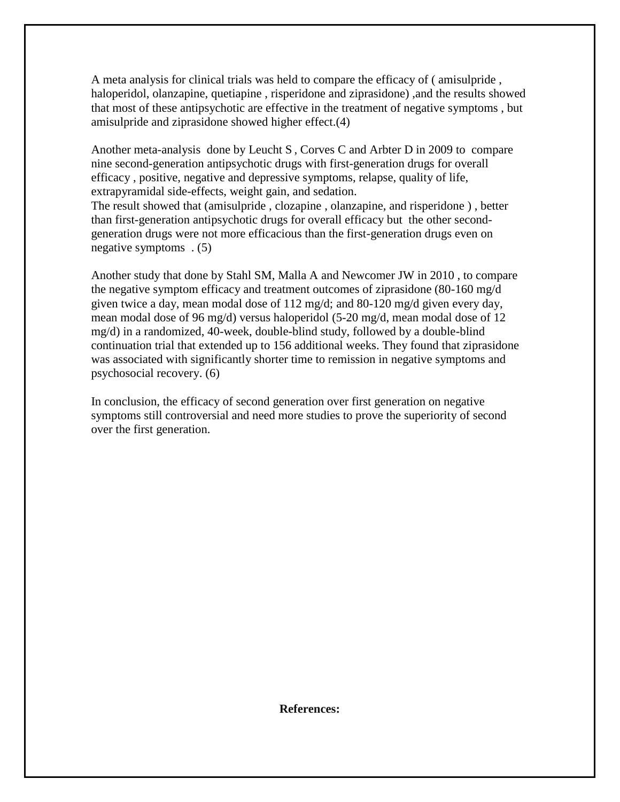A meta analysis for clinical trials was held to compare the efficacy of ( amisulpride , haloperidol, olanzapine, quetiapine , risperidone and ziprasidone) ,and the results showed that most of these antipsychotic are effective in the treatment of negative symptoms , but amisulpride and ziprasidone showed higher effect.(4)

Another meta-analysis done by Leucht S , Corves C and Arbter D in 2009 to compare nine second-generation antipsychotic drugs with first-generation drugs for overall efficacy , positive, negative and depressive symptoms, relapse, quality of life, extrapyramidal side-effects, weight gain, and sedation.

The result showed that (amisulpride , clozapine , olanzapine, and risperidone ) , better than first-generation antipsychotic drugs for overall efficacy but the other secondgeneration drugs were not more efficacious than the first-generation drugs even on negative symptoms . (5)

Another study that done by Stahl SM, Malla A and Newcomer JW in 2010 , to compare the negative symptom efficacy and treatment outcomes of ziprasidone (80-160 mg/d given twice a day, mean modal dose of  $112 \text{ mg/d}$ ; and  $80\text{-}120 \text{ mg/d}$  given every day, mean modal dose of 96 mg/d) versus haloperidol (5-20 mg/d, mean modal dose of 12 mg/d) in a randomized, 40-week, double-blind study, followed by a double-blind continuation trial that extended up to 156 additional weeks. They found that ziprasidone was associated with significantly shorter time to remission in negative symptoms and psychosocial recovery. (6)

In conclusion, the efficacy of second generation over first generation on negative symptoms still controversial and need more studies to prove the superiority of second over the first generation.

**References:**